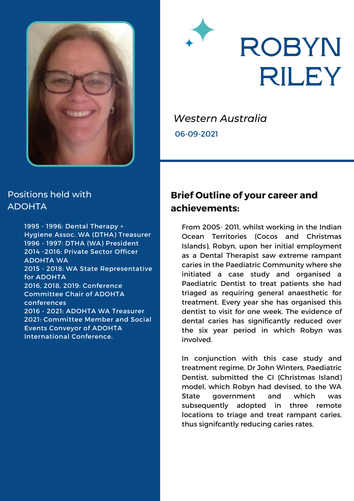

# **ROBYN RILEY**

*Western Australia*

06-09-2021

#### Positions held with ADOHTA

1995 - 1996: Dental Therapy + Hygiene Assoc. WA (DTHA) Treasurer 1996 - 1997: DTHA (WA) President 2014 -2016: Private Sector Officer ADOHTA WA 2015 - 2018: WA State Representative for ADOHTA 2016, 2018, 2019: Conference Committee Chair of ADOHTA conferences 2016 - 2021: ADOHTA WA Treasurer 2021: Committee Member and Social Events Conveyor of ADOHTA International Conference.

#### **Brief Outline of your career and achievements:**

From 2005- 2011, whilst working in the Indian Ocean Territories (Cocos and Christmas Islands), Robyn, upon her initial employment as a Dental Therapist saw extreme rampant caries in the Paediatric Community where she initiated a case study and organised a Paediatric Dentist to treat patients she had triaged as requiring general anaesthetic for treatment. Every year she has organised this dentist to visit for one week. The evidence of dental caries has significantly reduced over the six year period in which Robyn was involved.

In conjunction with this case study and treatment regime, Dr John Winters, Paediatric Dentist, submitted the CI (Christmas Island) model, which Robyn had devised, to the WA State government and which was subsequently adopted in three remote locations to triage and treat rampant caries, thus signifcantly reducing caries rates.